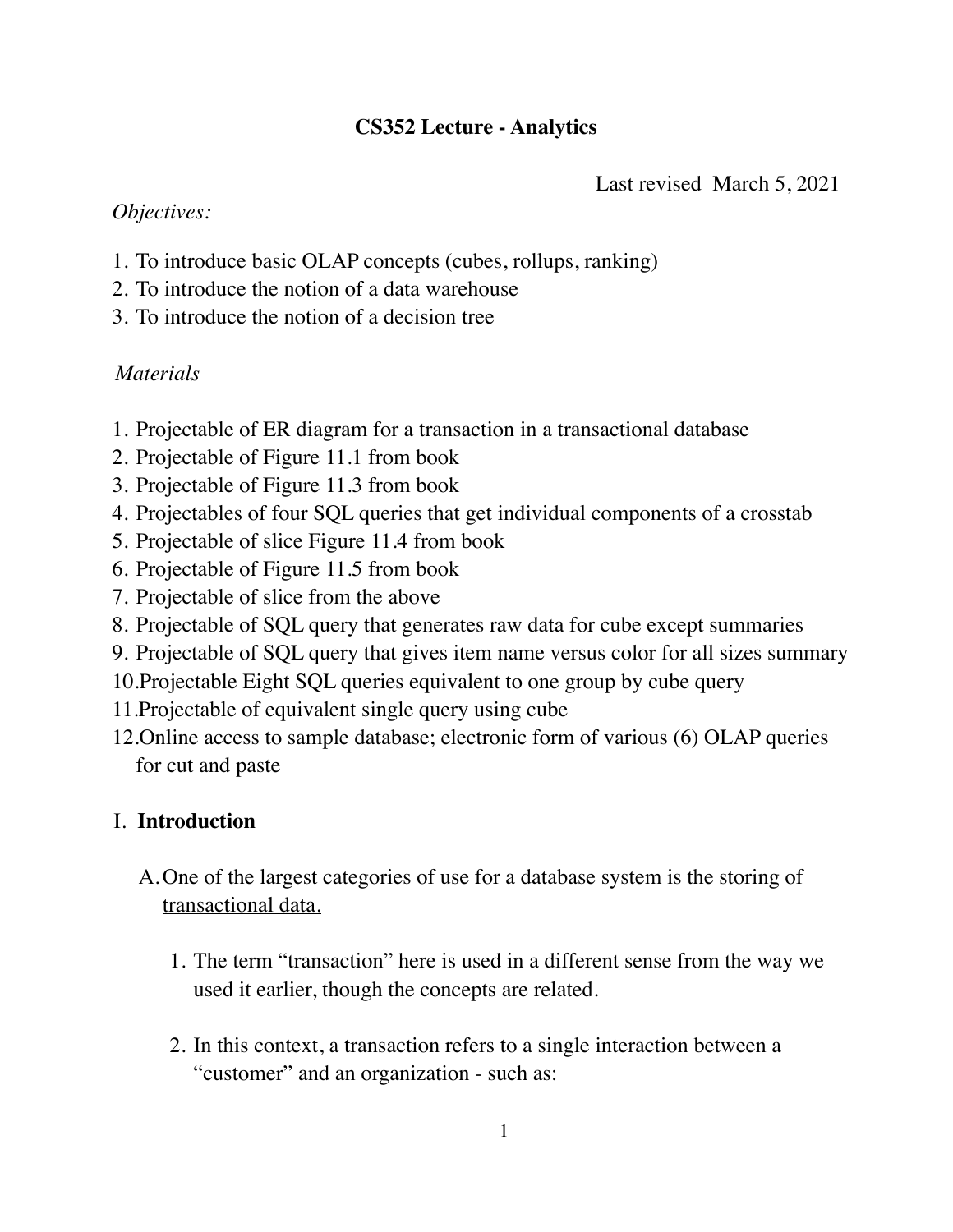# **CS352 Lecture - Analytics**

Last revised March 5, 2021

## *Objectives:*

- 1. To introduce basic OLAP concepts (cubes, rollups, ranking)
- 2. To introduce the notion of a data warehouse
- 3. To introduce the notion of a decision tree

# *Materials*

- 1. Projectable of ER diagram for a transaction in a transactional database
- 2. Projectable of Figure 11.1 from book
- 3. Projectable of Figure 11.3 from book
- 4. Projectables of four SQL queries that get individual components of a crosstab
- 5. Projectable of slice Figure 11.4 from book
- 6. Projectable of Figure 11.5 from book
- 7. Projectable of slice from the above
- 8. Projectable of SQL query that generates raw data for cube except summaries
- 9. Projectable of SQL query that gives item name versus color for all sizes summary
- 10.Projectable Eight SQL queries equivalent to one group by cube query
- 11.Projectable of equivalent single query using cube
- 12.Online access to sample database; electronic form of various (6) OLAP queries for cut and paste

# I. **Introduction**

- A.One of the largest categories of use for a database system is the storing of transactional data.
	- 1. The term "transaction" here is used in a different sense from the way we used it earlier, though the concepts are related.
	- 2. In this context, a transaction refers to a single interaction between a "customer" and an organization - such as: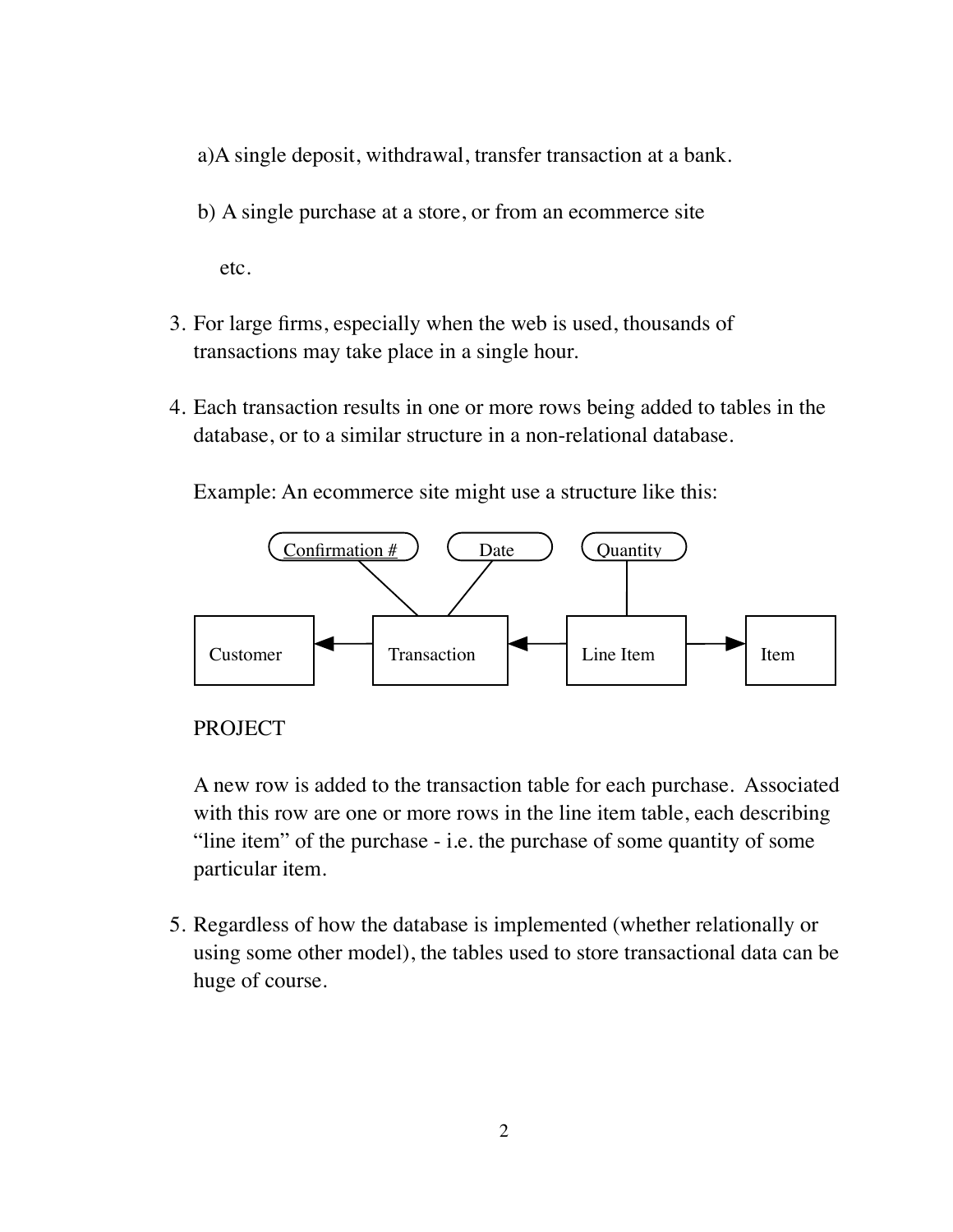- a)A single deposit, withdrawal, transfer transaction at a bank.
- b) A single purchase at a store, or from an ecommerce site

etc.

- 3. For large firms, especially when the web is used, thousands of transactions may take place in a single hour.
- 4. Each transaction results in one or more rows being added to tables in the database, or to a similar structure in a non-relational database.

Example: An ecommerce site might use a structure like this:



## PROJECT

A new row is added to the transaction table for each purchase. Associated with this row are one or more rows in the line item table, each describing "line item" of the purchase - i.e. the purchase of some quantity of some particular item.

5. Regardless of how the database is implemented (whether relationally or using some other model), the tables used to store transactional data can be huge of course.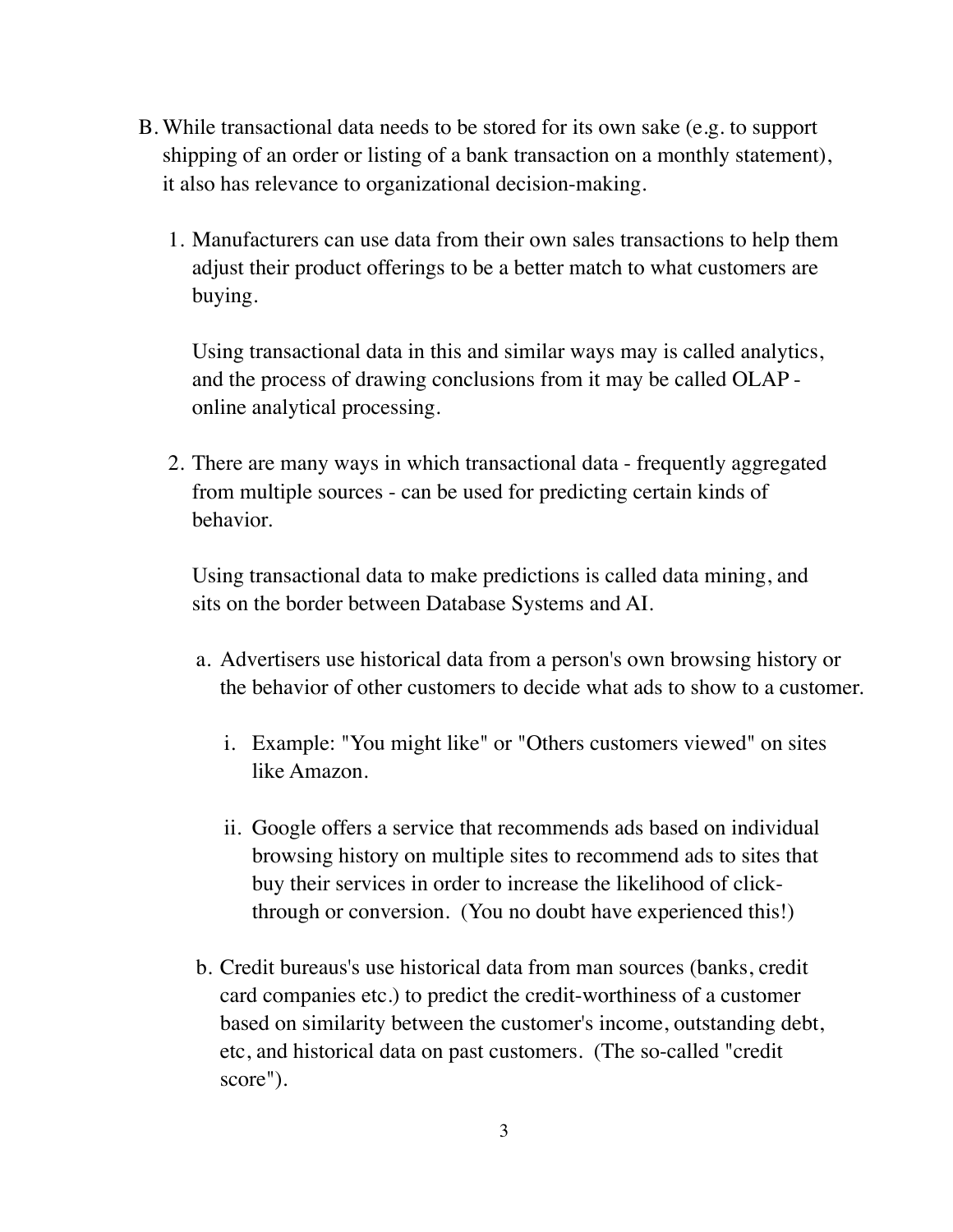- B. While transactional data needs to be stored for its own sake (e.g. to support shipping of an order or listing of a bank transaction on a monthly statement), it also has relevance to organizational decision-making.
	- 1. Manufacturers can use data from their own sales transactions to help them adjust their product offerings to be a better match to what customers are buying.

Using transactional data in this and similar ways may is called analytics, and the process of drawing conclusions from it may be called OLAP online analytical processing.

2. There are many ways in which transactional data - frequently aggregated from multiple sources - can be used for predicting certain kinds of behavior.

Using transactional data to make predictions is called data mining, and sits on the border between Database Systems and AI.

- a. Advertisers use historical data from a person's own browsing history or the behavior of other customers to decide what ads to show to a customer.
	- i. Example: "You might like" or "Others customers viewed" on sites like Amazon.
	- ii. Google offers a service that recommends ads based on individual browsing history on multiple sites to recommend ads to sites that buy their services in order to increase the likelihood of clickthrough or conversion. (You no doubt have experienced this!)
- b. Credit bureaus's use historical data from man sources (banks, credit card companies etc.) to predict the credit-worthiness of a customer based on similarity between the customer's income, outstanding debt, etc, and historical data on past customers. (The so-called "credit score").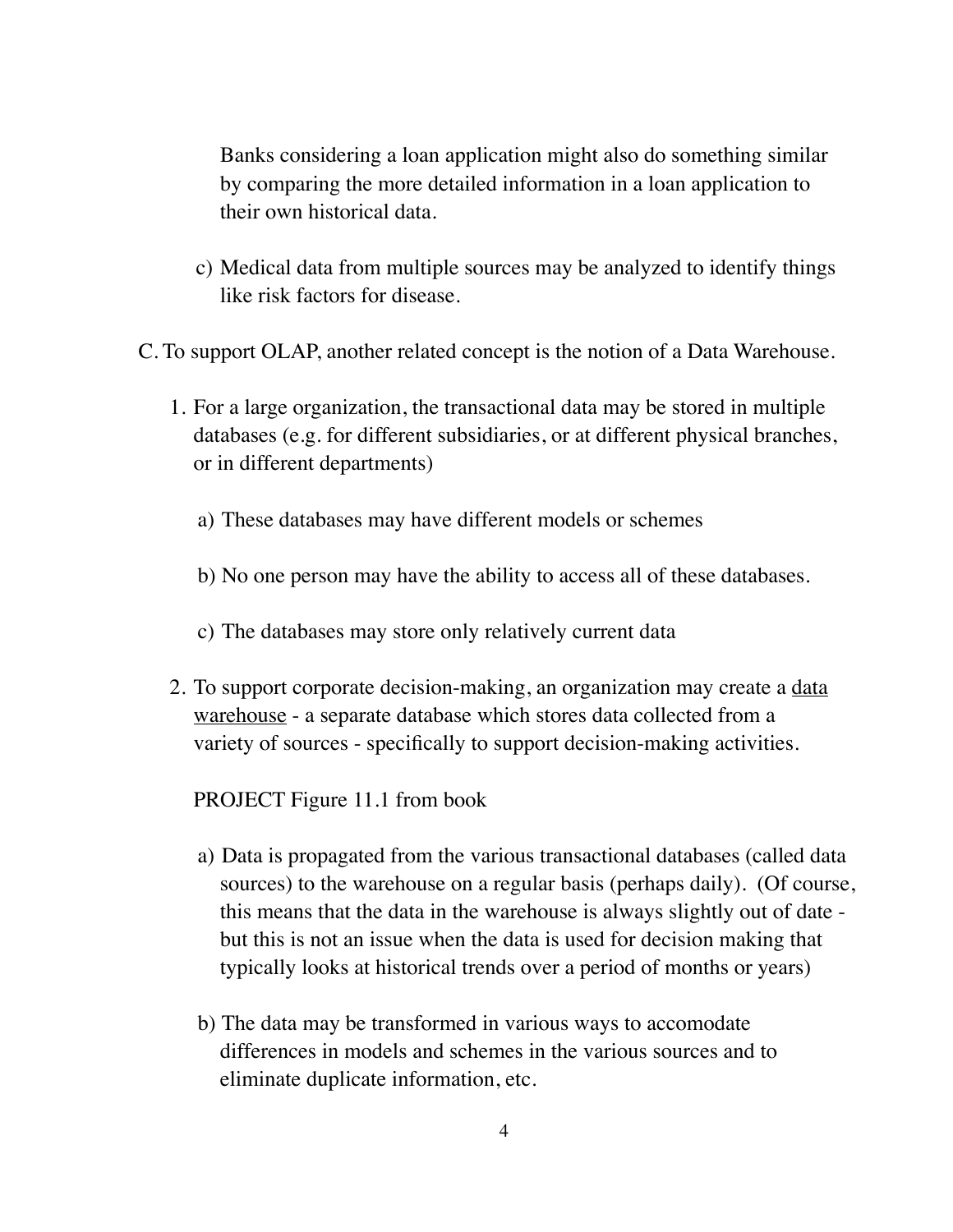Banks considering a loan application might also do something similar by comparing the more detailed information in a loan application to their own historical data.

c) Medical data from multiple sources may be analyzed to identify things like risk factors for disease.

C. To support OLAP, another related concept is the notion of a Data Warehouse.

- 1. For a large organization, the transactional data may be stored in multiple databases (e.g. for different subsidiaries, or at different physical branches, or in different departments)
	- a) These databases may have different models or schemes
	- b) No one person may have the ability to access all of these databases.
	- c) The databases may store only relatively current data
- 2. To support corporate decision-making, an organization may create a data warehouse - a separate database which stores data collected from a variety of sources - specifically to support decision-making activities.

PROJECT Figure 11.1 from book

- a) Data is propagated from the various transactional databases (called data sources) to the warehouse on a regular basis (perhaps daily). (Of course, this means that the data in the warehouse is always slightly out of date but this is not an issue when the data is used for decision making that typically looks at historical trends over a period of months or years)
- b) The data may be transformed in various ways to accomodate differences in models and schemes in the various sources and to eliminate duplicate information, etc.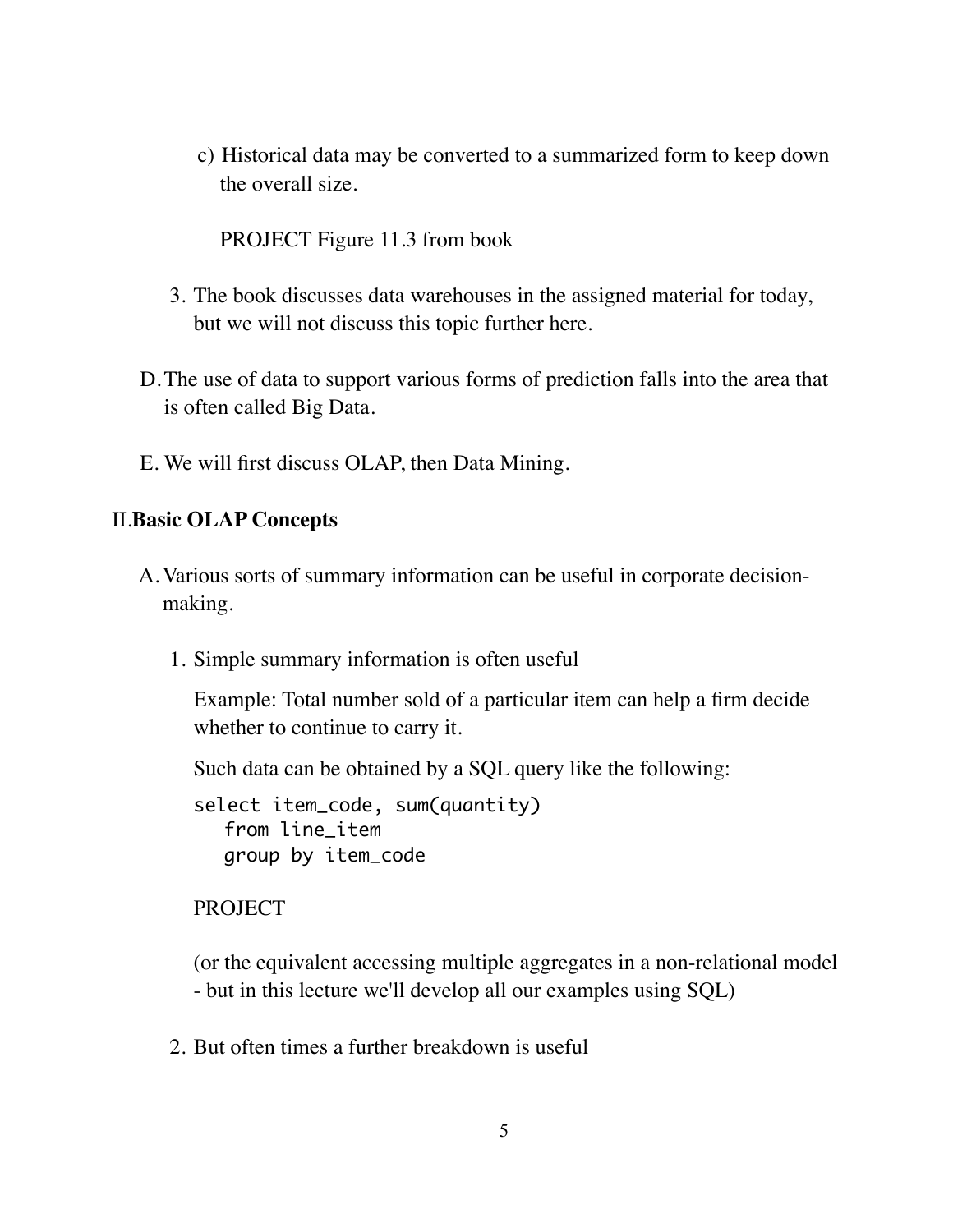c) Historical data may be converted to a summarized form to keep down the overall size.

PROJECT Figure 11.3 from book

- 3. The book discusses data warehouses in the assigned material for today, but we will not discuss this topic further here.
- D.The use of data to support various forms of prediction falls into the area that is often called Big Data.
- E. We will first discuss OLAP, then Data Mining.

## II.**Basic OLAP Concepts**

- A.Various sorts of summary information can be useful in corporate decisionmaking.
	- 1. Simple summary information is often useful

Example: Total number sold of a particular item can help a firm decide whether to continue to carry it.

Such data can be obtained by a SQL query like the following:

select item\_code, sum(quantity) from line\_item group by item\_code

## PROJECT

(or the equivalent accessing multiple aggregates in a non-relational model - but in this lecture we'll develop all our examples using SQL)

2. But often times a further breakdown is useful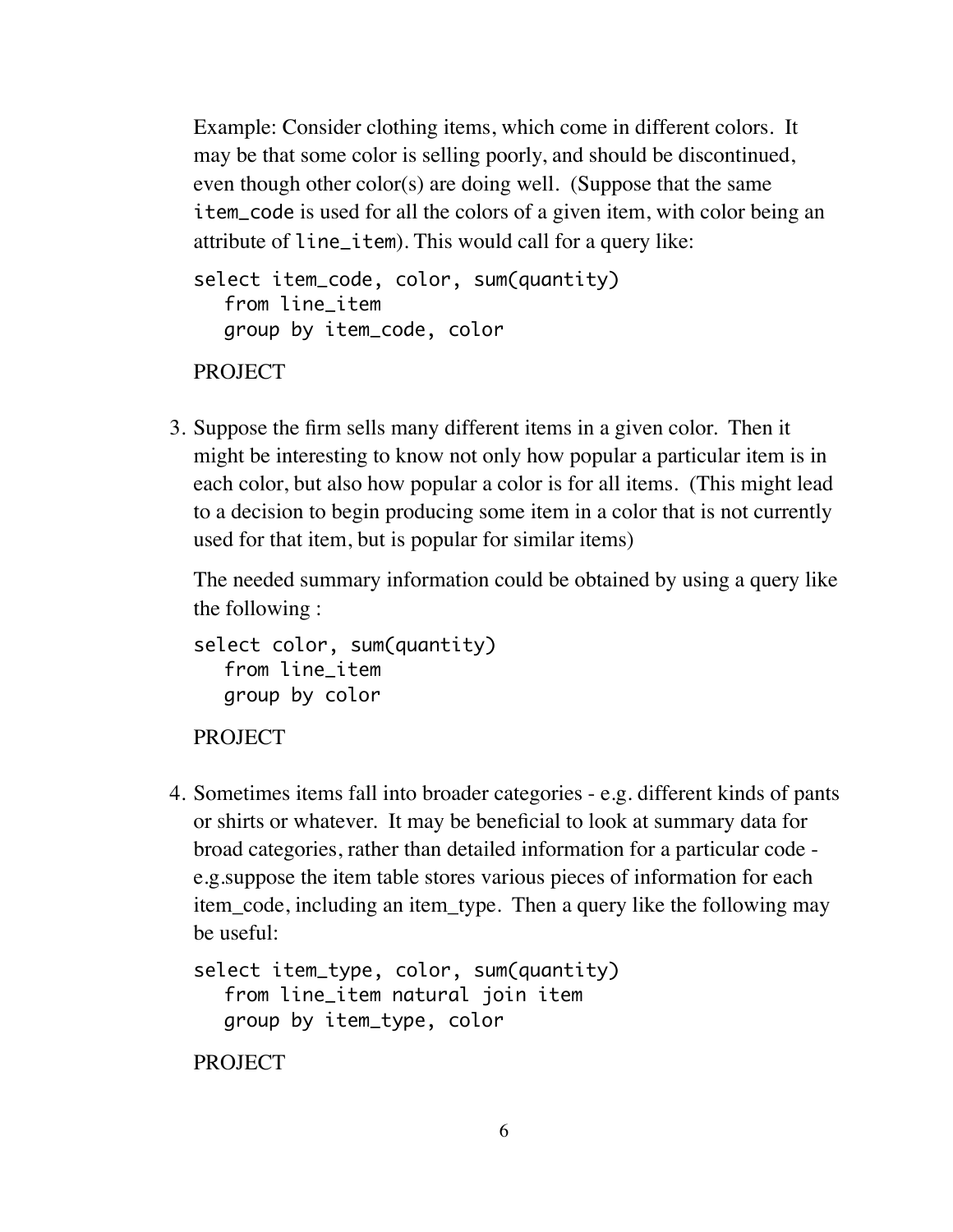Example: Consider clothing items, which come in different colors. It may be that some color is selling poorly, and should be discontinued, even though other color(s) are doing well. (Suppose that the same item\_code is used for all the colors of a given item, with color being an attribute of line\_item). This would call for a query like:

```
select item_code, color, sum(quantity)
  from line_item
  group by item_code, color
```
PROJECT

3. Suppose the firm sells many different items in a given color. Then it might be interesting to know not only how popular a particular item is in each color, but also how popular a color is for all items. (This might lead to a decision to begin producing some item in a color that is not currently used for that item, but is popular for similar items)

The needed summary information could be obtained by using a query like the following :

```
select color, sum(quantity)
  from line_item
  group by color
```

```
PROJECT
```
4. Sometimes items fall into broader categories - e.g. different kinds of pants or shirts or whatever. It may be beneficial to look at summary data for broad categories, rather than detailed information for a particular code e.g.suppose the item table stores various pieces of information for each item\_code, including an item\_type. Then a query like the following may be useful:

```
select item_type, color, sum(quantity)
  from line_item natural join item
  group by item_type, color
```
PROJECT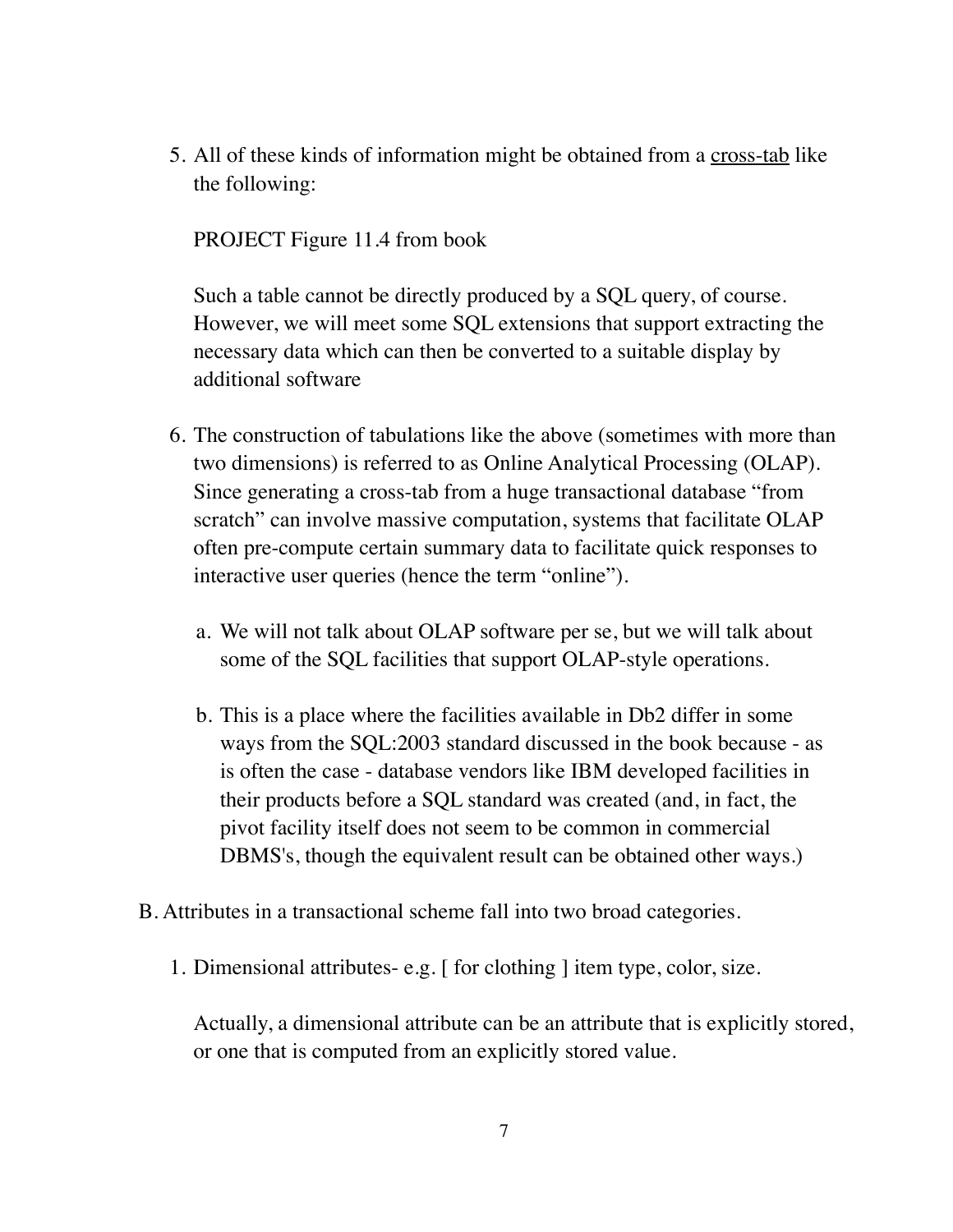5. All of these kinds of information might be obtained from a cross-tab like the following:

PROJECT Figure 11.4 from book

Such a table cannot be directly produced by a SQL query, of course. However, we will meet some SQL extensions that support extracting the necessary data which can then be converted to a suitable display by additional software

- 6. The construction of tabulations like the above (sometimes with more than two dimensions) is referred to as Online Analytical Processing (OLAP). Since generating a cross-tab from a huge transactional database "from scratch" can involve massive computation, systems that facilitate OLAP often pre-compute certain summary data to facilitate quick responses to interactive user queries (hence the term "online").
	- a. We will not talk about OLAP software per se, but we will talk about some of the SQL facilities that support OLAP-style operations.
	- b. This is a place where the facilities available in Db2 differ in some ways from the SQL:2003 standard discussed in the book because - as is often the case - database vendors like IBM developed facilities in their products before a SQL standard was created (and, in fact, the pivot facility itself does not seem to be common in commercial DBMS's, though the equivalent result can be obtained other ways.)
- B. Attributes in a transactional scheme fall into two broad categories.
	- 1. Dimensional attributes- e.g. [ for clothing ] item type, color, size.

Actually, a dimensional attribute can be an attribute that is explicitly stored, or one that is computed from an explicitly stored value.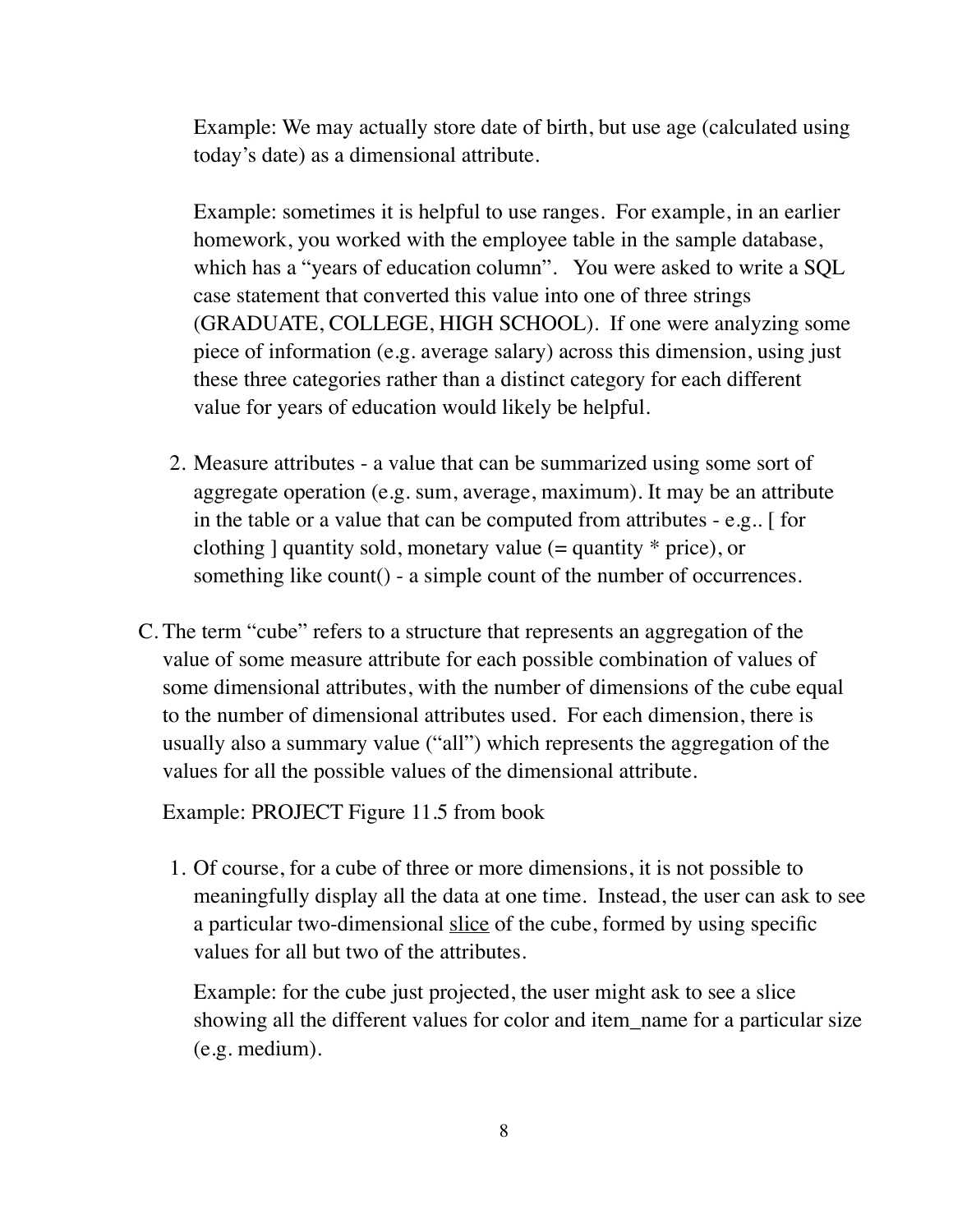Example: We may actually store date of birth, but use age (calculated using today's date) as a dimensional attribute.

Example: sometimes it is helpful to use ranges. For example, in an earlier homework, you worked with the employee table in the sample database, which has a "years of education column". You were asked to write a SQL case statement that converted this value into one of three strings (GRADUATE, COLLEGE, HIGH SCHOOL). If one were analyzing some piece of information (e.g. average salary) across this dimension, using just these three categories rather than a distinct category for each different value for years of education would likely be helpful.

- 2. Measure attributes a value that can be summarized using some sort of aggregate operation (e.g. sum, average, maximum). It may be an attribute in the table or a value that can be computed from attributes - e.g.. [ for clothing  $\alpha$  quantity sold, monetary value (= quantity  $*$  price), or something like count() - a simple count of the number of occurrences.
- C. The term "cube" refers to a structure that represents an aggregation of the value of some measure attribute for each possible combination of values of some dimensional attributes, with the number of dimensions of the cube equal to the number of dimensional attributes used. For each dimension, there is usually also a summary value ("all") which represents the aggregation of the values for all the possible values of the dimensional attribute.

Example: PROJECT Figure 11.5 from book

1. Of course, for a cube of three or more dimensions, it is not possible to meaningfully display all the data at one time. Instead, the user can ask to see a particular two-dimensional slice of the cube, formed by using specific values for all but two of the attributes.

Example: for the cube just projected, the user might ask to see a slice showing all the different values for color and item\_name for a particular size (e.g. medium).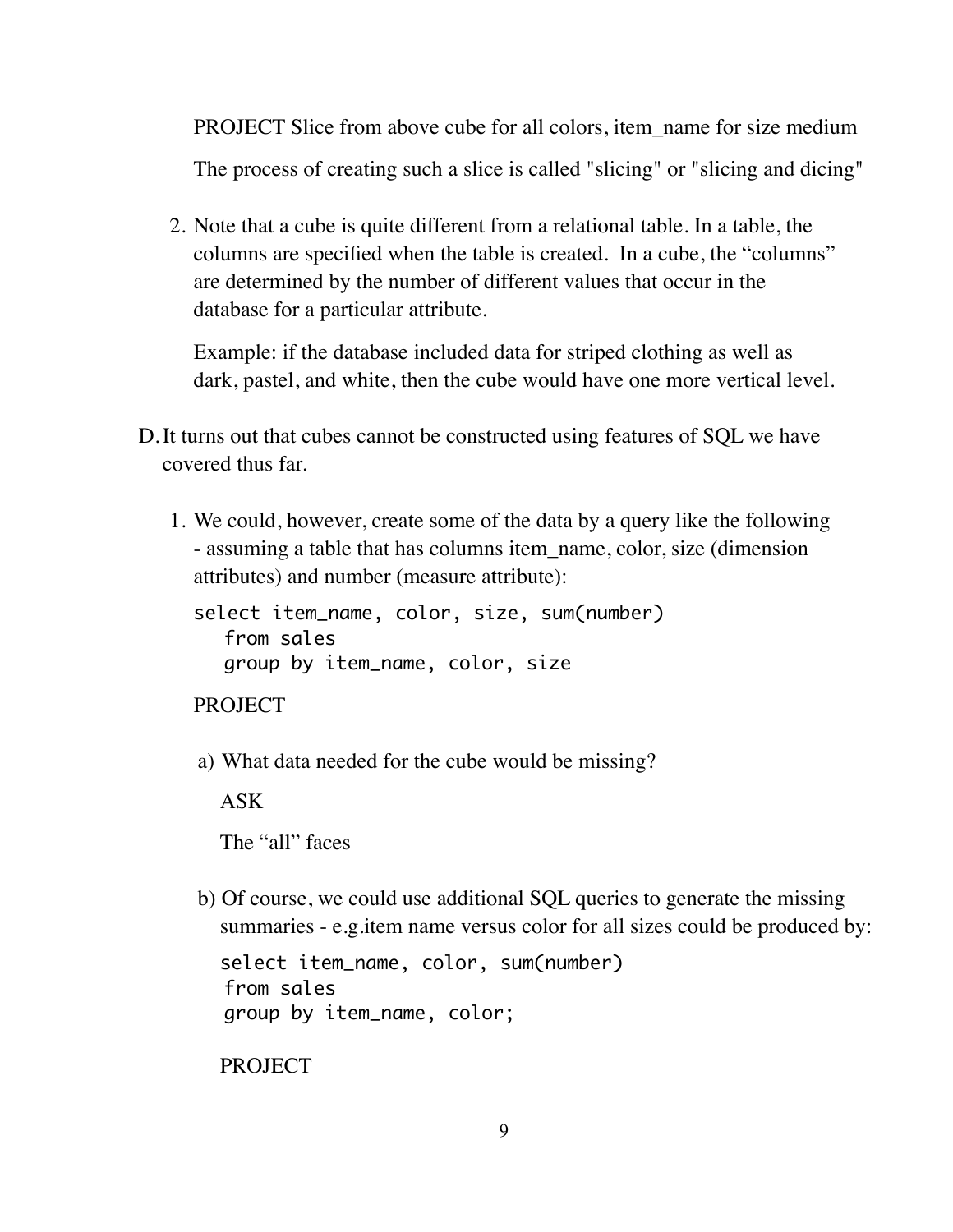PROJECT Slice from above cube for all colors, item\_name for size medium The process of creating such a slice is called "slicing" or "slicing and dicing"

2. Note that a cube is quite different from a relational table. In a table, the columns are specified when the table is created. In a cube, the "columns" are determined by the number of different values that occur in the database for a particular attribute.

Example: if the database included data for striped clothing as well as dark, pastel, and white, then the cube would have one more vertical level.

- D.It turns out that cubes cannot be constructed using features of SQL we have covered thus far.
	- 1. We could, however, create some of the data by a query like the following - assuming a table that has columns item name, color, size (dimension attributes) and number (measure attribute):

select item\_name, color, size, sum(number) from sales group by item\_name, color, size

PROJECT

a) What data needed for the cube would be missing?

ASK

The "all" faces

b) Of course, we could use additional SQL queries to generate the missing summaries - e.g.item name versus color for all sizes could be produced by:

```
select item_name, color, sum(number)
from sales
group by item_name, color;
```
**PROJECT**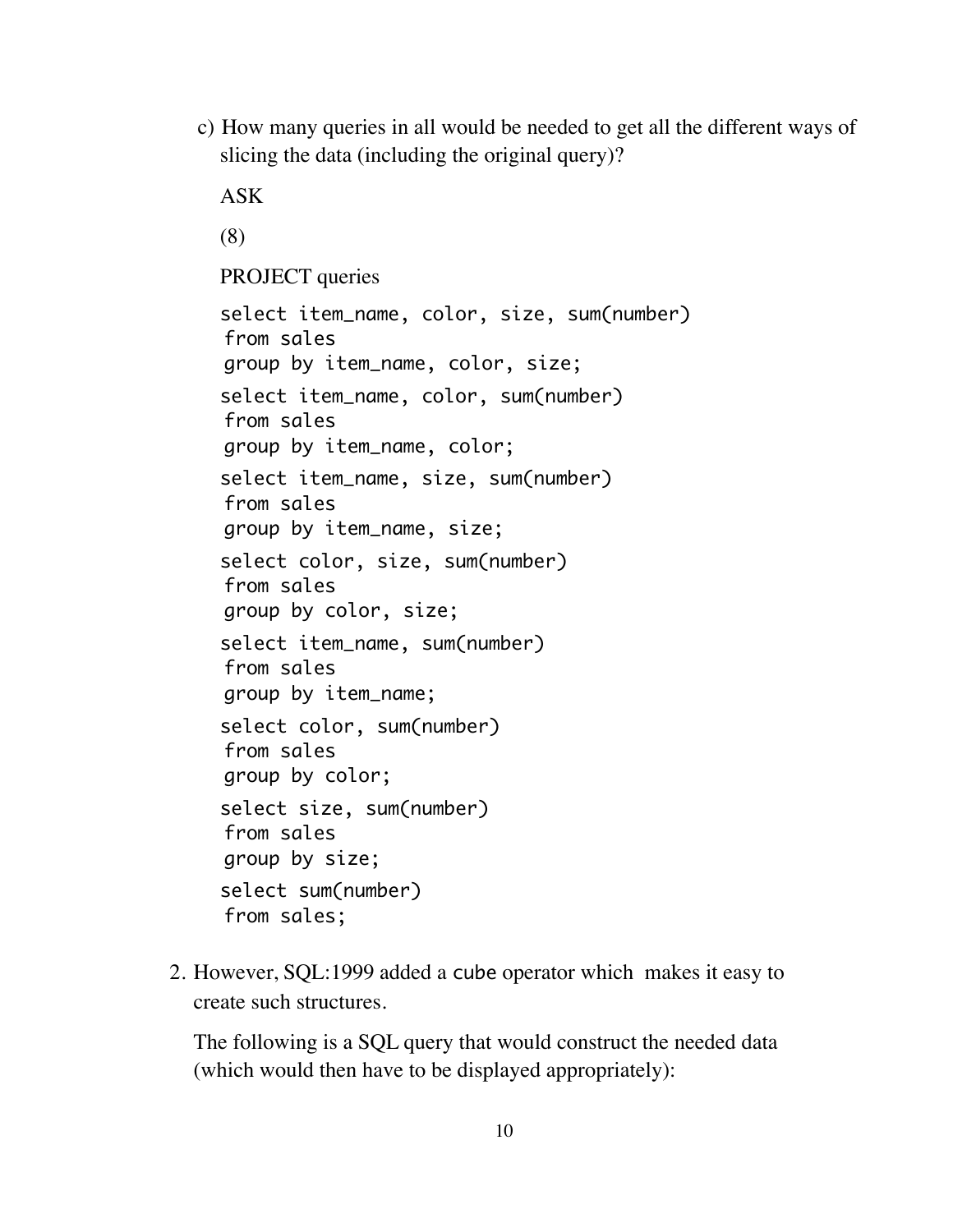c) How many queries in all would be needed to get all the different ways of slicing the data (including the original query)?

```
ASK 
(8)
PROJECT queries
select item_name, color, size, sum(number)
from sales
group by item_name, color, size;
select item_name, color, sum(number)
from sales
group by item_name, color;
select item_name, size, sum(number)
from sales
group by item_name, size;
select color, size, sum(number)
from sales
group by color, size;
select item_name, sum(number)
from sales
group by item_name;
select color, sum(number)
from sales
group by color;
select size, sum(number)
from sales
group by size;
select sum(number)
from sales;
```
2. However, SQL:1999 added a cube operator which makes it easy to create such structures.

The following is a SQL query that would construct the needed data (which would then have to be displayed appropriately):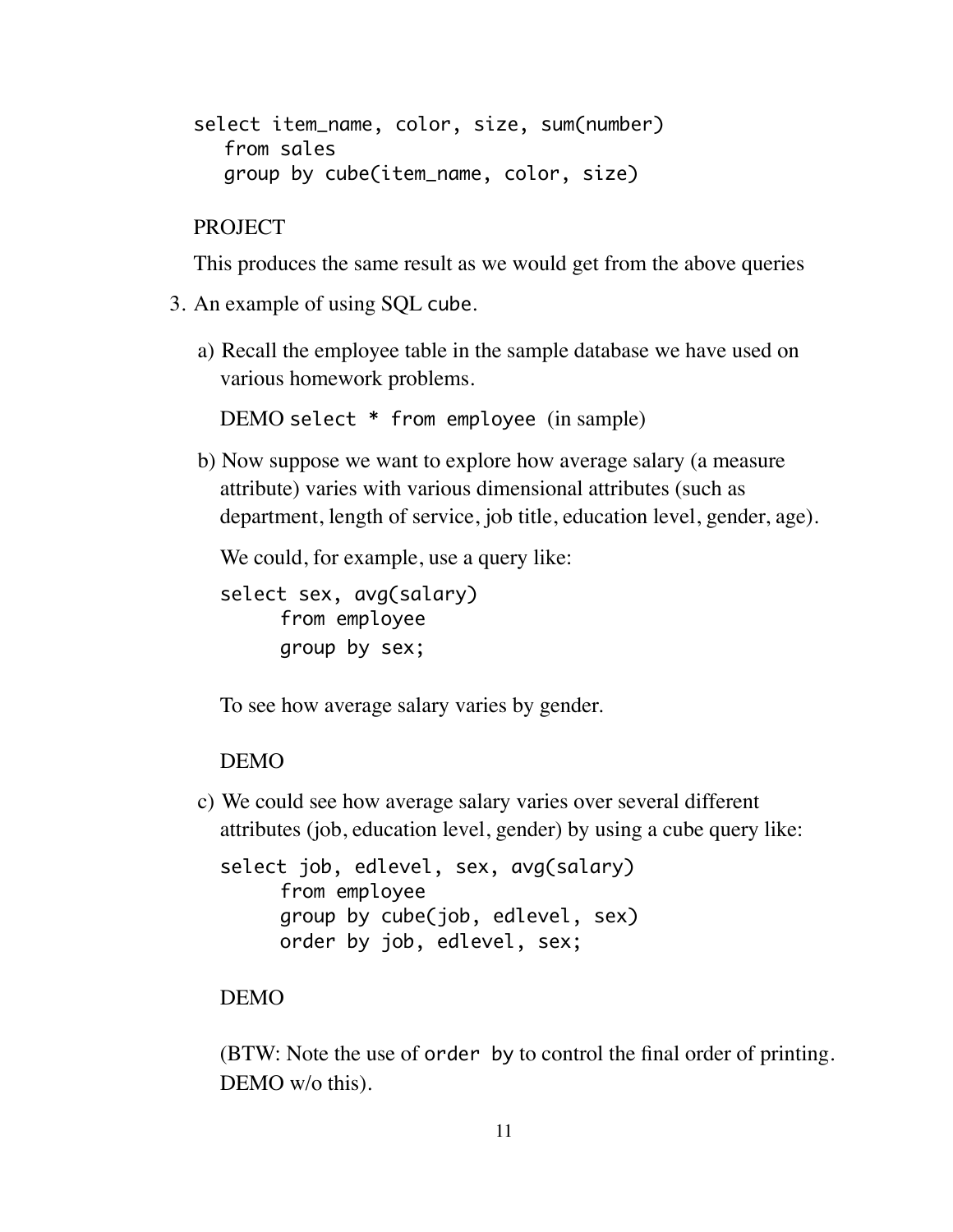```
select item_name, color, size, sum(number)
  from sales
  group by cube(item_name, color, size)
```
PROJECT

This produces the same result as we would get from the above queries

- 3. An example of using SQL cube.
	- a) Recall the employee table in the sample database we have used on various homework problems.

DEMO select \* from employee (in sample)

b) Now suppose we want to explore how average salary (a measure attribute) varies with various dimensional attributes (such as department, length of service, job title, education level, gender, age).

We could, for example, use a query like:

select sex, avg(salary) from employee group by sex;

To see how average salary varies by gender.

#### DEMO

c) We could see how average salary varies over several different attributes (job, education level, gender) by using a cube query like:

```
select job, edlevel, sex, avg(salary)
     from employee
     group by cube(job, edlevel, sex)
     order by job, edlevel, sex;
```
## DEMO

(BTW: Note the use of order by to control the final order of printing. DEMO w/o this).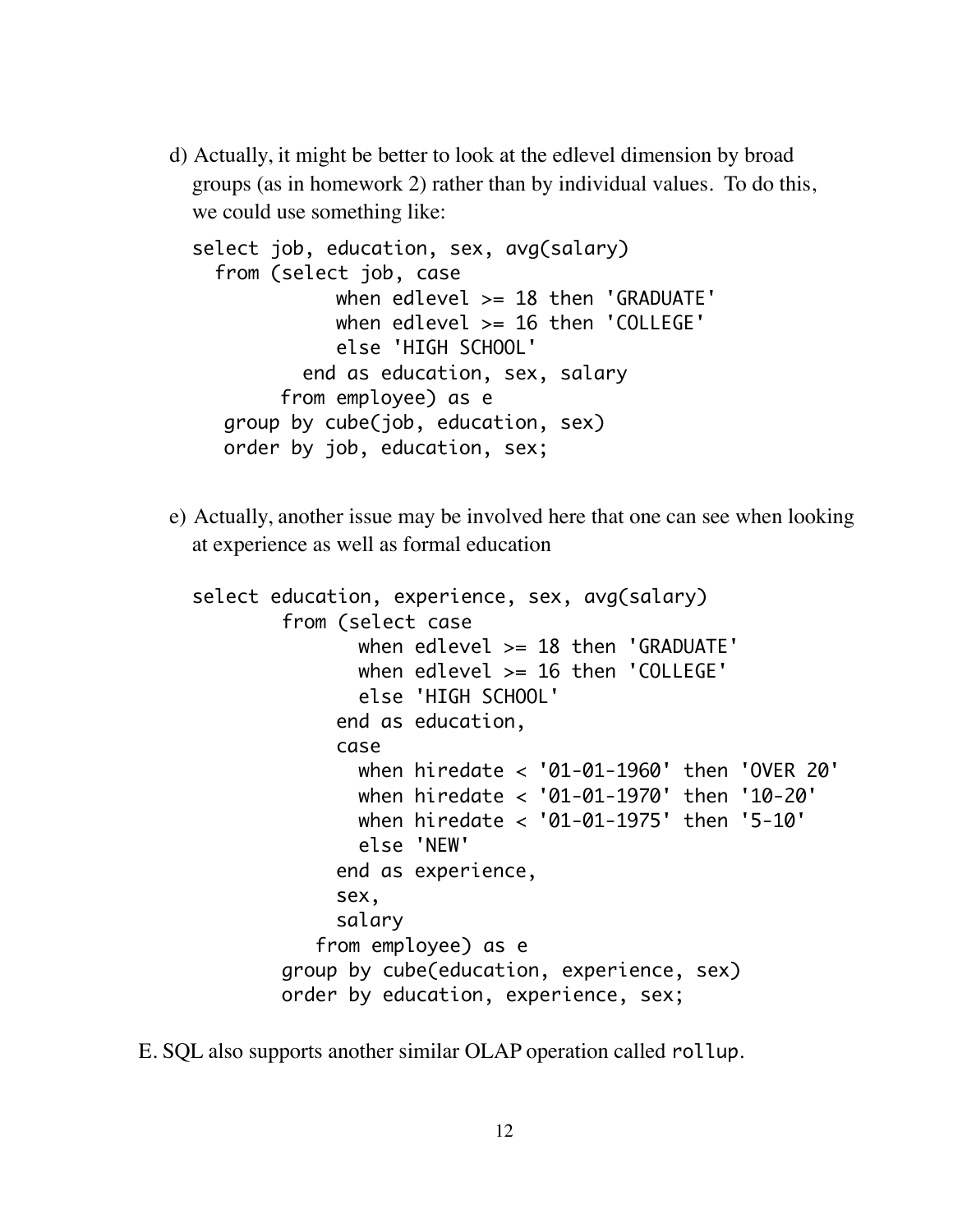d) Actually, it might be better to look at the edlevel dimension by broad groups (as in homework 2) rather than by individual values. To do this, we could use something like:

```
select job, education, sex, avg(salary)
   from (select job, case
             when edlevel >= 18 then 'GRADUATE'
             when edlevel >= 16 then 'COLLEGE'
             else 'HIGH SCHOOL'
           end as education, sex, salary 
        from employee) as e
  group by cube(job, education, sex)
  order by job, education, sex;
```
e) Actually, another issue may be involved here that one can see when looking at experience as well as formal education

```
select education, experience, sex, avg(salary)
        from (select case
               when edlevel > = 18 then 'GRADUATE'
                when edlevel >= 16 then 'COLLEGE'
                else 'HIGH SCHOOL'
             end as education,
             case
                when hiredate < '01-01-1960' then 'OVER 20'
                when hiredate < '01-01-1970' then '10-20'
                when hiredate < '01-01-1975' then '5-10'
                else 'NEW'
             end as experience, 
             sex, 
             salary 
            from employee) as e
        group by cube(education, experience, sex)
        order by education, experience, sex;
```
E. SQL also supports another similar OLAP operation called rollup.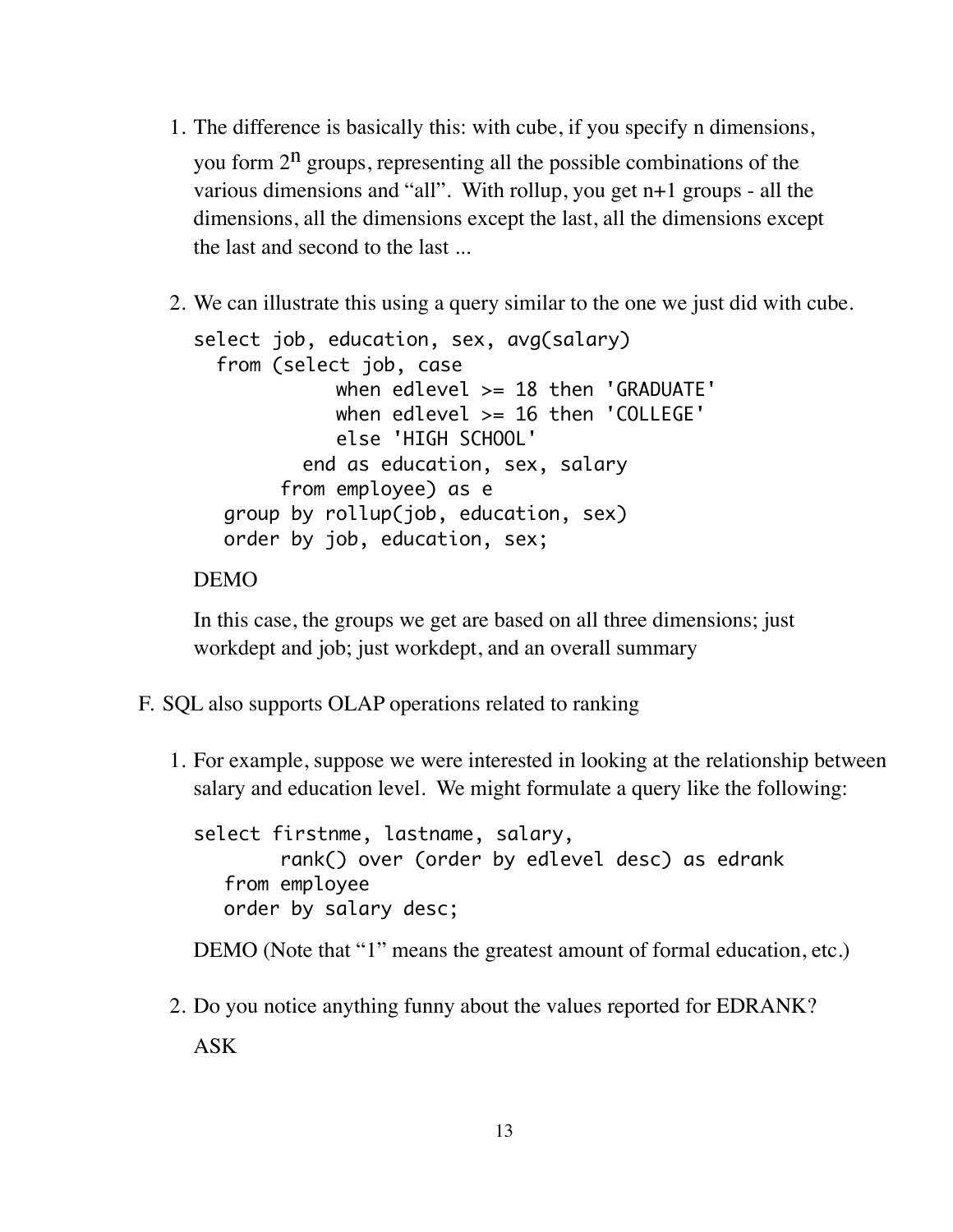- 1. The difference is basically this: with cube, if you specify n dimensions, you form  $2^n$  groups, representing all the possible combinations of the various dimensions and "all". With rollup, you get n+1 groups - all the dimensions, all the dimensions except the last, all the dimensions except the last and second to the last ...
- 2. We can illustrate this using a query similar to the one we just did with cube.

```
select job, education, sex, avg(salary)
   from (select job, case
            when edlevel >= 18 then 'GRADUATE'
             when edlevel >= 16 then 'COLLEGE'
             else 'HIGH SCHOOL'
          end as education, sex, salary 
       from employee) as e
  group by rollup(job, education, sex)
  order by job, education, sex;
```
#### DEMO

In this case, the groups we get are based on all three dimensions; just workdept and job; just workdept, and an overall summary

- F. SQL also supports OLAP operations related to ranking
	- 1. For example, suppose we were interested in looking at the relationship between salary and education level. We might formulate a query like the following:

select firstnme, lastname, salary, rank() over (order by edlevel desc) as edrank from employee order by salary desc;

DEMO (Note that "1" means the greatest amount of formal education, etc.)

2. Do you notice anything funny about the values reported for EDRANK? ASK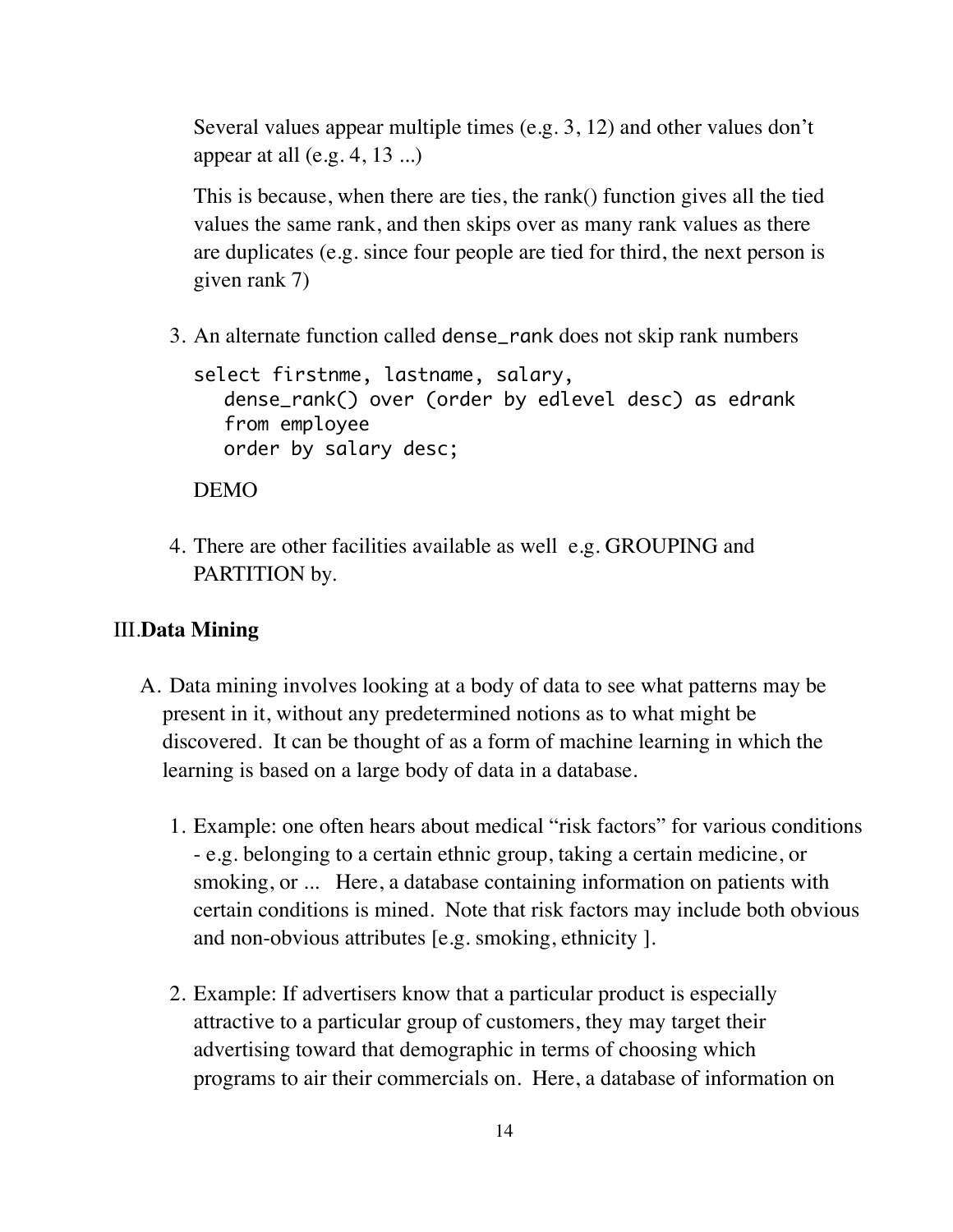Several values appear multiple times (e.g. 3, 12) and other values don't appear at all  $(e.g. 4, 13 ...)$ 

This is because, when there are ties, the rank() function gives all the tied values the same rank, and then skips over as many rank values as there are duplicates (e.g. since four people are tied for third, the next person is given rank 7)

3. An alternate function called dense\_rank does not skip rank numbers

```
select firstnme, lastname, salary, 
  dense_rank() over (order by edlevel desc) as edrank
  from employee 
  order by salary desc;
```
DEMO

4. There are other facilities available as well e.g. GROUPING and PARTITION by.

#### III.**Data Mining**

- A. Data mining involves looking at a body of data to see what patterns may be present in it, without any predetermined notions as to what might be discovered. It can be thought of as a form of machine learning in which the learning is based on a large body of data in a database.
	- 1. Example: one often hears about medical "risk factors" for various conditions - e.g. belonging to a certain ethnic group, taking a certain medicine, or smoking, or ... Here, a database containing information on patients with certain conditions is mined. Note that risk factors may include both obvious and non-obvious attributes [e.g. smoking, ethnicity ].
	- 2. Example: If advertisers know that a particular product is especially attractive to a particular group of customers, they may target their advertising toward that demographic in terms of choosing which programs to air their commercials on. Here, a database of information on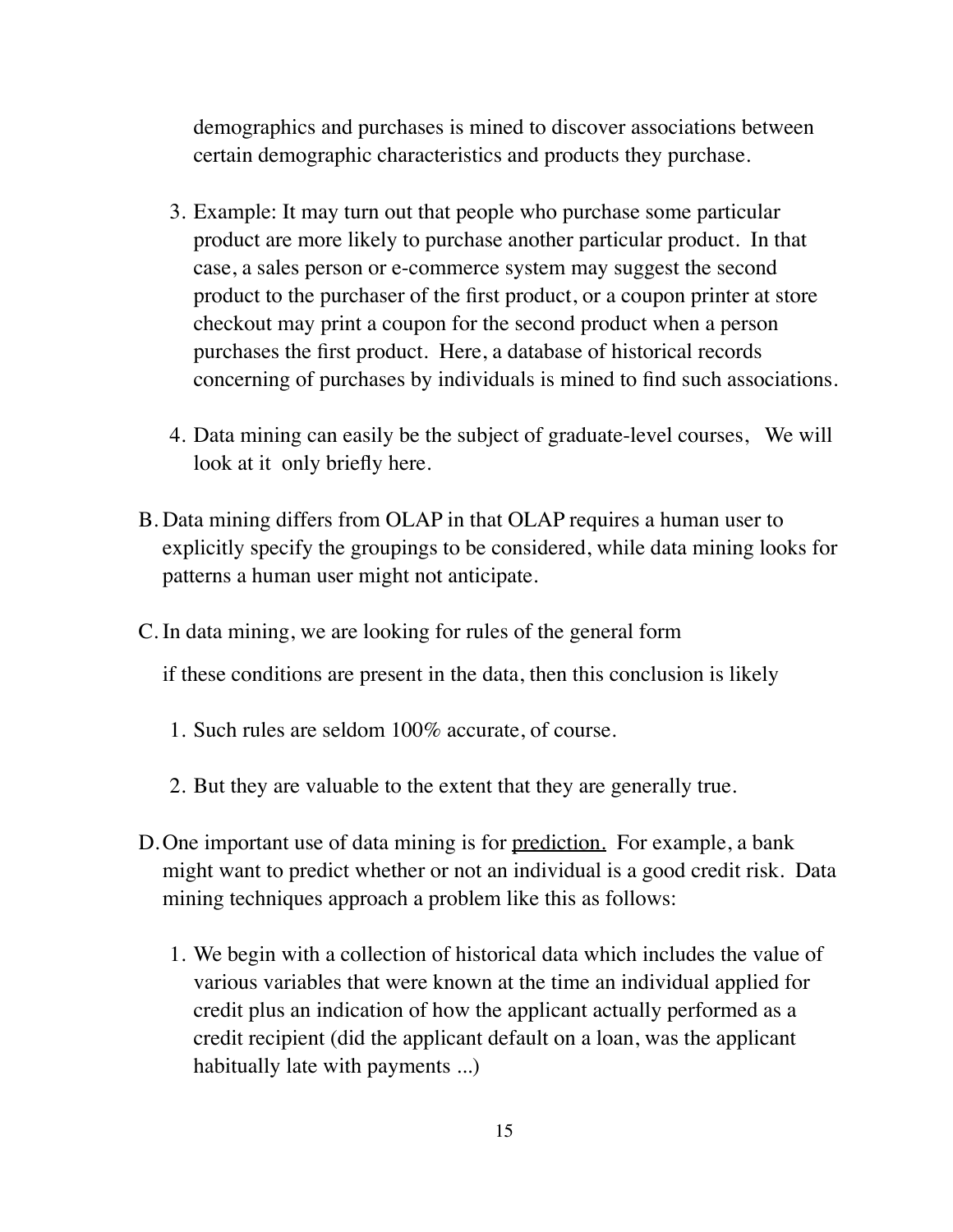demographics and purchases is mined to discover associations between certain demographic characteristics and products they purchase.

- 3. Example: It may turn out that people who purchase some particular product are more likely to purchase another particular product. In that case, a sales person or e-commerce system may suggest the second product to the purchaser of the first product, or a coupon printer at store checkout may print a coupon for the second product when a person purchases the first product. Here, a database of historical records concerning of purchases by individuals is mined to find such associations.
- 4. Data mining can easily be the subject of graduate-level courses, We will look at it only briefly here.
- B. Data mining differs from OLAP in that OLAP requires a human user to explicitly specify the groupings to be considered, while data mining looks for patterns a human user might not anticipate.
- C. In data mining, we are looking for rules of the general form

if these conditions are present in the data, then this conclusion is likely

- 1. Such rules are seldom 100% accurate, of course.
- 2. But they are valuable to the extent that they are generally true.
- D. One important use of data mining is for <u>prediction.</u> For example, a bank might want to predict whether or not an individual is a good credit risk. Data mining techniques approach a problem like this as follows:
	- 1. We begin with a collection of historical data which includes the value of various variables that were known at the time an individual applied for credit plus an indication of how the applicant actually performed as a credit recipient (did the applicant default on a loan, was the applicant habitually late with payments ...)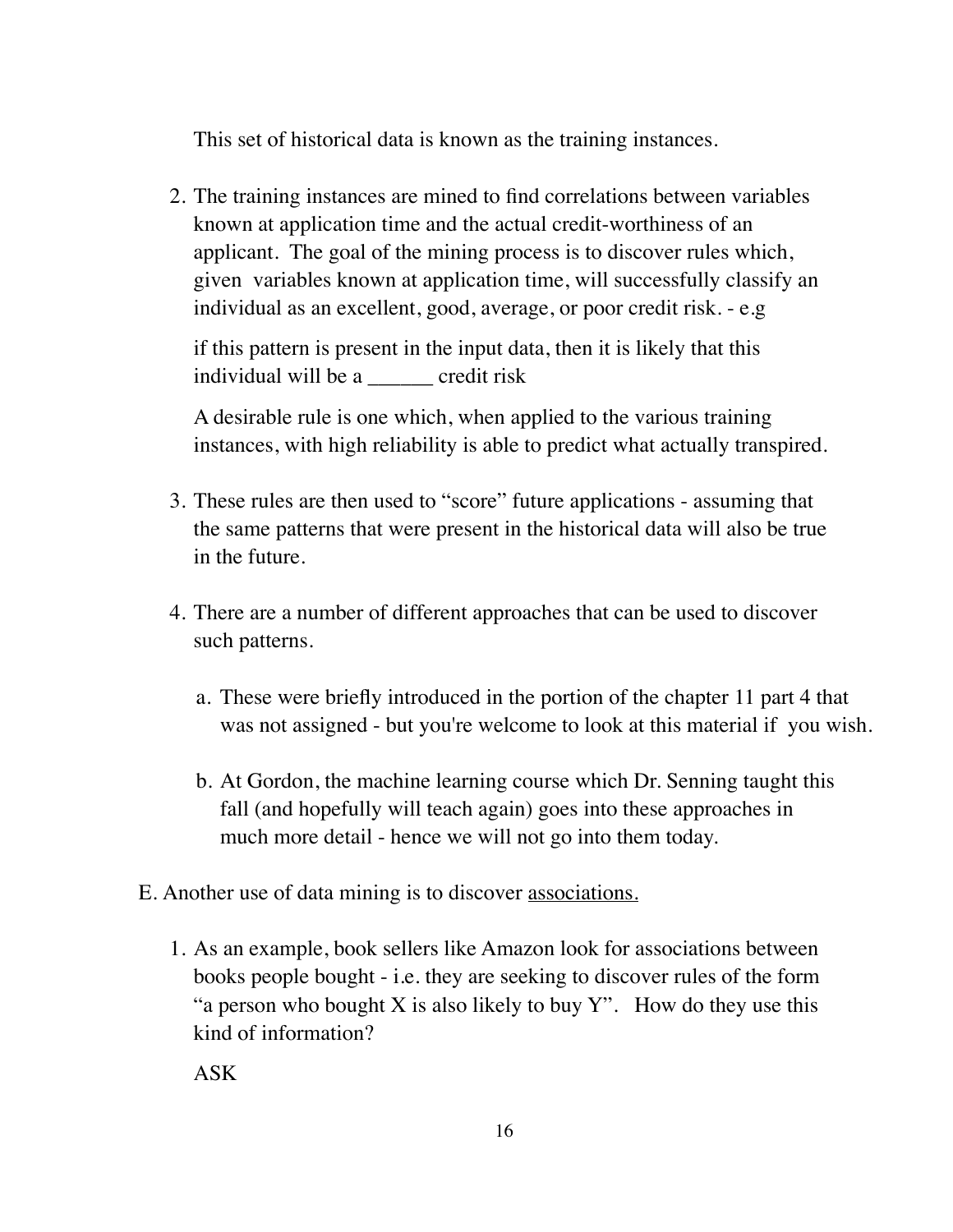This set of historical data is known as the training instances.

2. The training instances are mined to find correlations between variables known at application time and the actual credit-worthiness of an applicant. The goal of the mining process is to discover rules which, given variables known at application time, will successfully classify an individual as an excellent, good, average, or poor credit risk. - e.g

if this pattern is present in the input data, then it is likely that this individual will be a credit risk

A desirable rule is one which, when applied to the various training instances, with high reliability is able to predict what actually transpired.

- 3. These rules are then used to "score" future applications assuming that the same patterns that were present in the historical data will also be true in the future.
- 4. There are a number of different approaches that can be used to discover such patterns.
	- a. These were briefly introduced in the portion of the chapter 11 part 4 that was not assigned - but you're welcome to look at this material if you wish.
	- b. At Gordon, the machine learning course which Dr. Senning taught this fall (and hopefully will teach again) goes into these approaches in much more detail - hence we will not go into them today.
- E. Another use of data mining is to discover associations.
	- 1. As an example, book sellers like Amazon look for associations between books people bought - i.e. they are seeking to discover rules of the form "a person who bought X is also likely to buy  $Y$ ". How do they use this kind of information?

ASK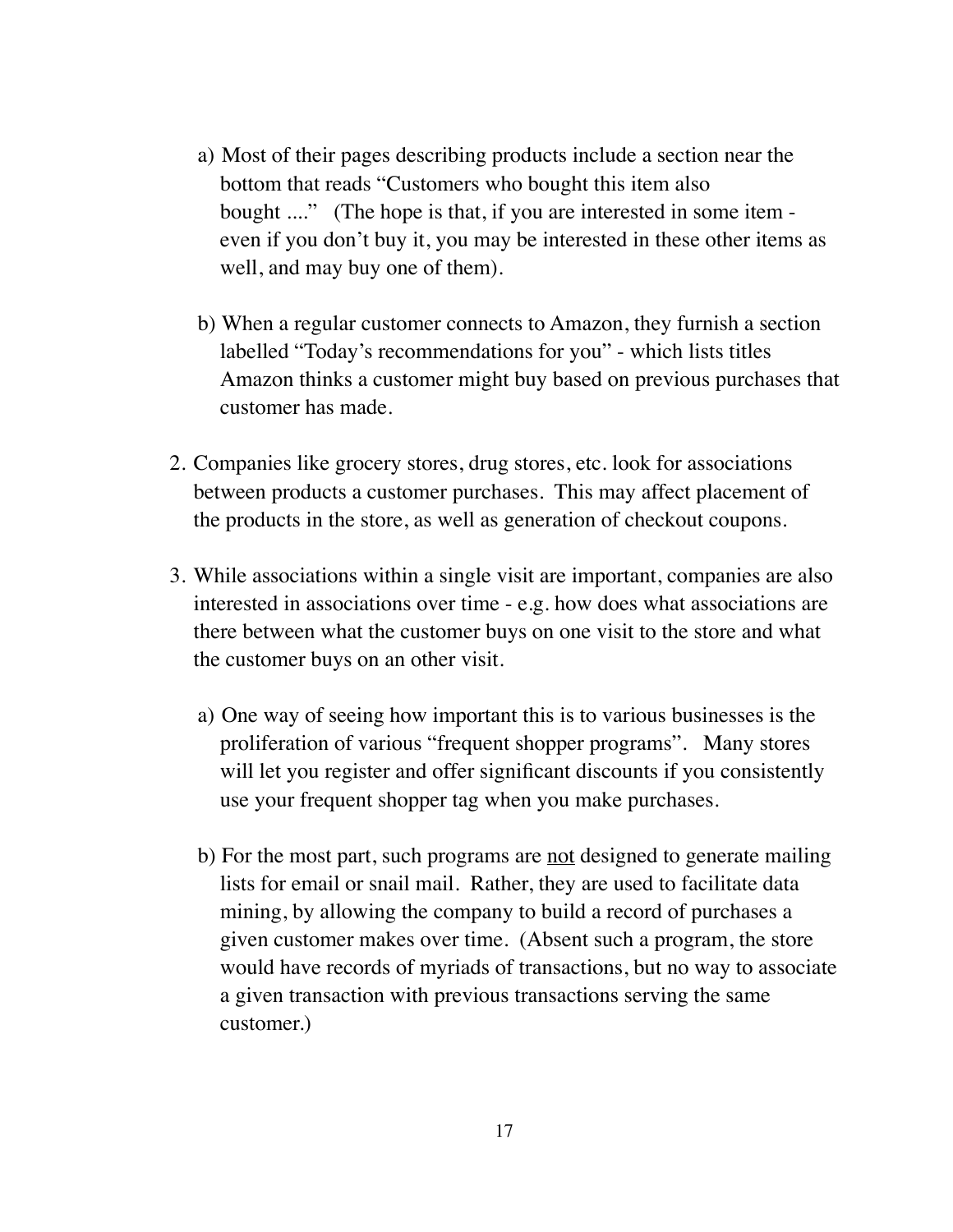- a) Most of their pages describing products include a section near the bottom that reads "Customers who bought this item also bought ...." (The hope is that, if you are interested in some item even if you don't buy it, you may be interested in these other items as well, and may buy one of them).
- b) When a regular customer connects to Amazon, they furnish a section labelled "Today's recommendations for you" - which lists titles Amazon thinks a customer might buy based on previous purchases that customer has made.
- 2. Companies like grocery stores, drug stores, etc. look for associations between products a customer purchases. This may affect placement of the products in the store, as well as generation of checkout coupons.
- 3. While associations within a single visit are important, companies are also interested in associations over time - e.g. how does what associations are there between what the customer buys on one visit to the store and what the customer buys on an other visit.
	- a) One way of seeing how important this is to various businesses is the proliferation of various "frequent shopper programs". Many stores will let you register and offer significant discounts if you consistently use your frequent shopper tag when you make purchases.
	- b) For the most part, such programs are <u>not</u> designed to generate mailing lists for email or snail mail. Rather, they are used to facilitate data mining, by allowing the company to build a record of purchases a given customer makes over time. (Absent such a program, the store would have records of myriads of transactions, but no way to associate a given transaction with previous transactions serving the same customer.)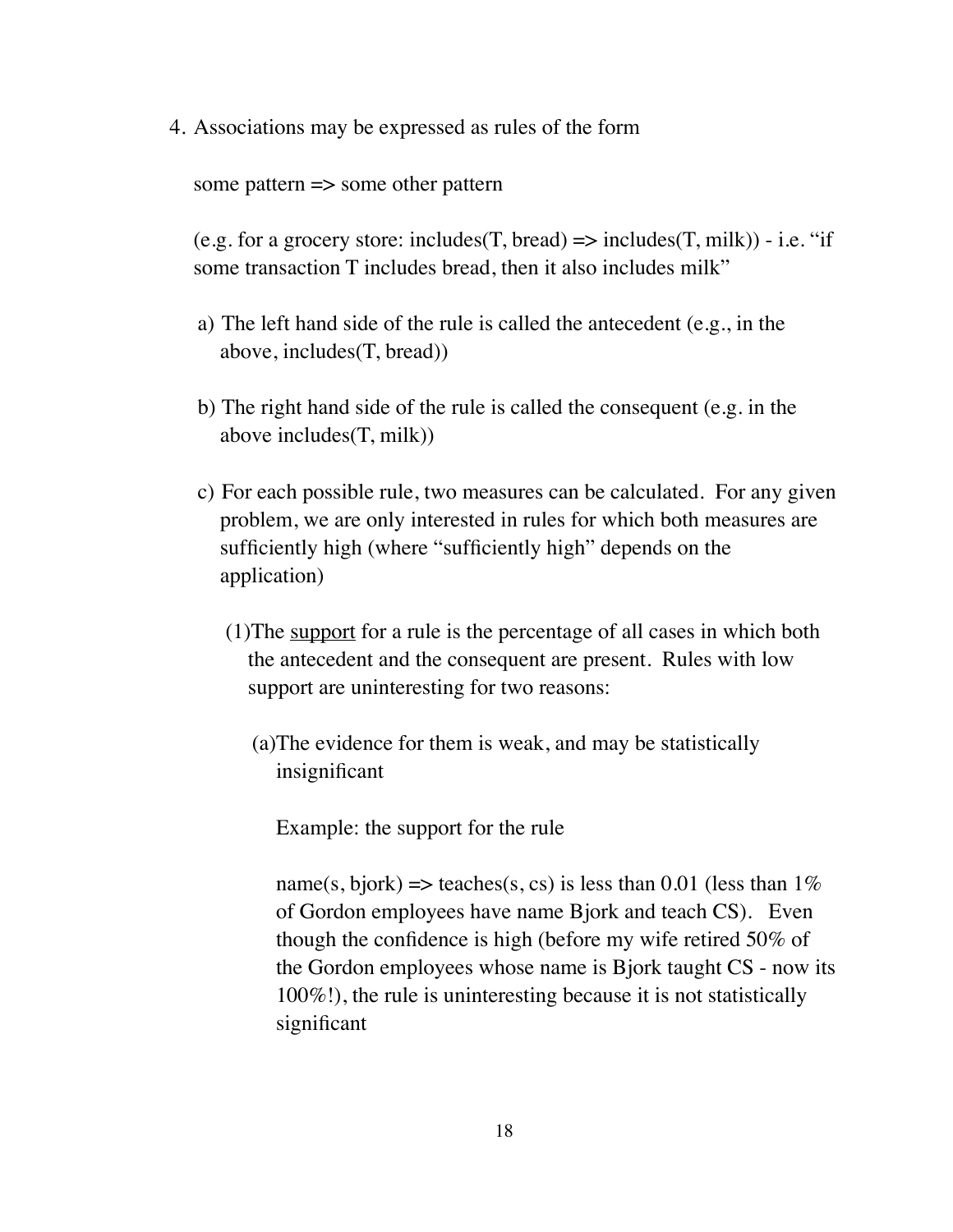4. Associations may be expressed as rules of the form

some pattern => some other pattern

(e.g. for a grocery store: includes(T, bread)  $\Rightarrow$  includes(T, milk)) - i.e. "if some transaction T includes bread, then it also includes milk"

- a) The left hand side of the rule is called the antecedent (e.g., in the above, includes(T, bread))
- b) The right hand side of the rule is called the consequent (e.g. in the above includes(T, milk))
- c) For each possible rule, two measures can be calculated. For any given problem, we are only interested in rules for which both measures are sufficiently high (where "sufficiently high" depends on the application)
	- (1)The support for a rule is the percentage of all cases in which both the antecedent and the consequent are present. Rules with low support are uninteresting for two reasons:
		- (a)The evidence for them is weak, and may be statistically insignificant

Example: the support for the rule

name(s, bjork) => teaches(s, cs) is less than 0.01 (less than  $1\%$ of Gordon employees have name Bjork and teach CS). Even though the confidence is high (before my wife retired 50% of the Gordon employees whose name is Bjork taught CS - now its 100%!), the rule is uninteresting because it is not statistically significant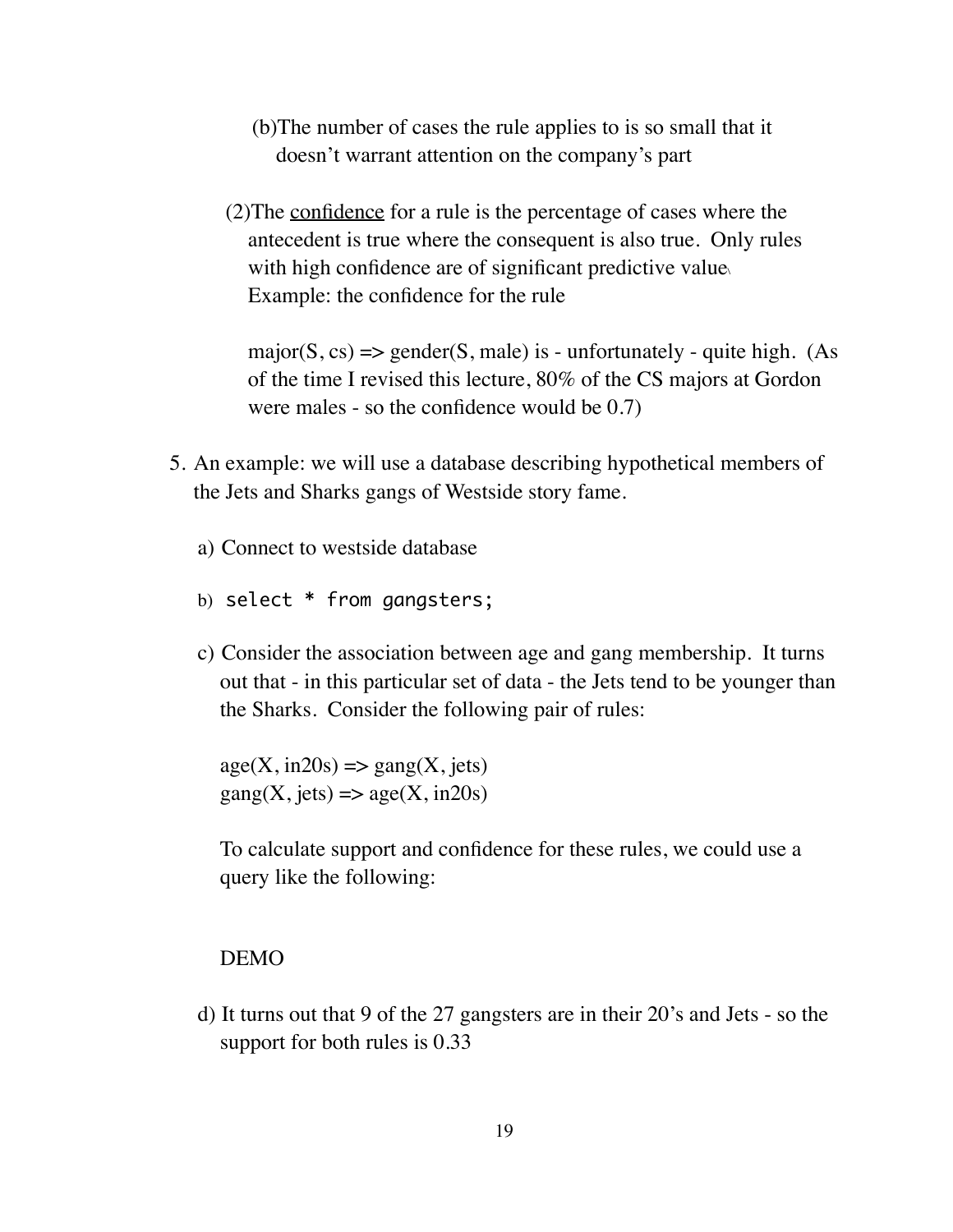- (b)The number of cases the rule applies to is so small that it doesn't warrant attention on the company's part
- (2)The confidence for a rule is the percentage of cases where the antecedent is true where the consequent is also true. Only rules with high confidence are of significant predictive value. Example: the confidence for the rule

major( $S$ ,  $cs$ )  $\Rightarrow$  gender( $S$ , male) is - unfortunately - quite high. (As of the time I revised this lecture, 80% of the CS majors at Gordon were males - so the confidence would be 0.7)

- 5. An example: we will use a database describing hypothetical members of the Jets and Sharks gangs of Westside story fame.
	- a) Connect to westside database
	- b) select \* from gangsters;
	- c) Consider the association between age and gang membership. It turns out that - in this particular set of data - the Jets tend to be younger than the Sharks. Consider the following pair of rules:

 $age(X, in20s) \Rightarrow gang(X, jets)$  $\text{gang}(X, \text{jets}) \Longrightarrow \text{age}(X, \text{in20s})$ 

To calculate support and confidence for these rules, we could use a query like the following:

#### DEMO

d) It turns out that 9 of the 27 gangsters are in their 20's and Jets - so the support for both rules is 0.33